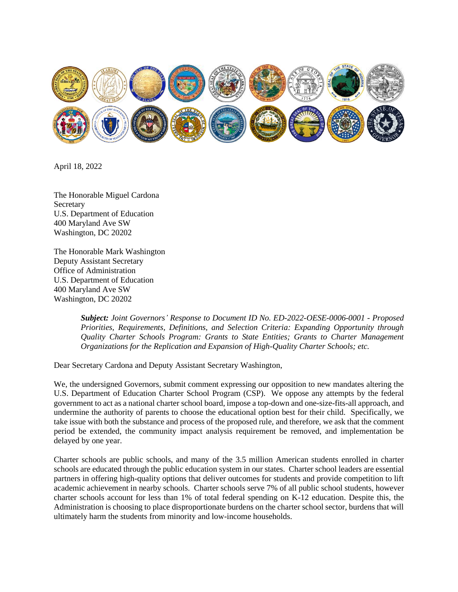

April 18, 2022

The Honorable Miguel Cardona **Secretary** U.S. Department of Education 400 Maryland Ave SW Washington, DC 20202

The Honorable Mark Washington Deputy Assistant Secretary Office of Administration U.S. Department of Education 400 Maryland Ave SW Washington, DC 20202

> *Subject: Joint Governors' Response to Document ID No. ED-2022-OESE-0006-0001 - Proposed Priorities, Requirements, Definitions, and Selection Criteria: Expanding Opportunity through Quality Charter Schools Program: Grants to State Entities; Grants to Charter Management Organizations for the Replication and Expansion of High-Quality Charter Schools; etc.*

Dear Secretary Cardona and Deputy Assistant Secretary Washington,

We, the undersigned Governors, submit comment expressing our opposition to new mandates altering the U.S. Department of Education Charter School Program (CSP). We oppose any attempts by the federal government to act as a national charter school board, impose a top-down and one-size-fits-all approach, and undermine the authority of parents to choose the educational option best for their child. Specifically, we take issue with both the substance and process of the proposed rule, and therefore, we ask that the comment period be extended, the community impact analysis requirement be removed, and implementation be delayed by one year.

Charter schools are public schools, and many of the 3.5 million American students enrolled in charter schools are educated through the public education system in our states. Charter school leaders are essential partners in offering high-quality options that deliver outcomes for students and provide competition to lift academic achievement in nearby schools. Charter schools serve 7% of all public school students, however charter schools account for less than 1% of total federal spending on K-12 education. Despite this, the Administration is choosing to place disproportionate burdens on the charter school sector, burdens that will ultimately harm the students from minority and low-income households.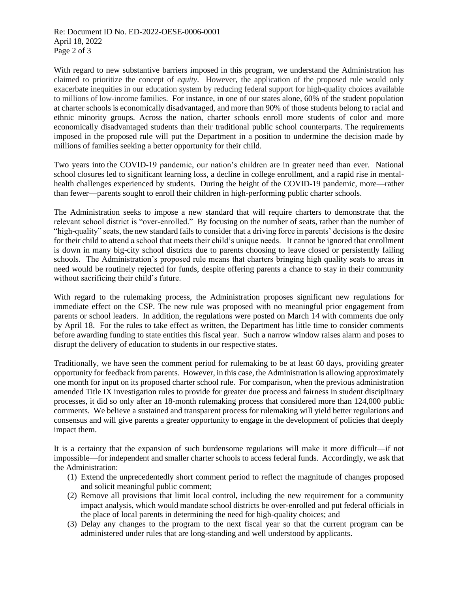With regard to new substantive barriers imposed in this program, we understand the Administration has claimed to prioritize the concept of *equity*. However, the application of the proposed rule would only exacerbate inequities in our education system by reducing federal support for high-quality choices available to millions of low-income families. For instance, in one of our states alone, 60% of the student population at charter schools is economically disadvantaged, and more than 90% of those students belong to racial and ethnic minority groups. Across the nation, charter schools enroll more students of color and more economically disadvantaged students than their traditional public school counterparts. The requirements imposed in the proposed rule will put the Department in a position to undermine the decision made by millions of families seeking a better opportunity for their child.

Two years into the COVID-19 pandemic, our nation's children are in greater need than ever. National school closures led to significant learning loss, a decline in college enrollment, and a rapid rise in mentalhealth challenges experienced by students. During the height of the COVID-19 pandemic, more—rather than fewer—parents sought to enroll their children in high-performing public charter schools.

The Administration seeks to impose a new standard that will require charters to demonstrate that the relevant school district is "over-enrolled." By focusing on the number of seats, rather than the number of "high-quality" seats, the new standard fails to consider that a driving force in parents' decisions is the desire for their child to attend a school that meets their child's unique needs. It cannot be ignored that enrollment is down in many big-city school districts due to parents choosing to leave closed or persistently failing schools. The Administration's proposed rule means that charters bringing high quality seats to areas in need would be routinely rejected for funds, despite offering parents a chance to stay in their community without sacrificing their child's future.

With regard to the rulemaking process, the Administration proposes significant new regulations for immediate effect on the CSP. The new rule was proposed with no meaningful prior engagement from parents or school leaders. In addition, the regulations were posted on March 14 with comments due only by April 18. For the rules to take effect as written, the Department has little time to consider comments before awarding funding to state entities this fiscal year. Such a narrow window raises alarm and poses to disrupt the delivery of education to students in our respective states.

Traditionally, we have seen the comment period for rulemaking to be at least 60 days, providing greater opportunity for feedback from parents. However, in this case, the Administration is allowing approximately one month for input on its proposed charter school rule. For comparison, when the previous administration amended Title IX investigation rules to provide for greater due process and fairness in student disciplinary processes, it did so only after an 18-month rulemaking process that considered more than 124,000 public comments. We believe a sustained and transparent process for rulemaking will yield better regulations and consensus and will give parents a greater opportunity to engage in the development of policies that deeply impact them.

It is a certainty that the expansion of such burdensome regulations will make it more difficult—if not impossible—for independent and smaller charter schools to access federal funds. Accordingly, we ask that the Administration:

- (1) Extend the unprecedentedly short comment period to reflect the magnitude of changes proposed and solicit meaningful public comment;
- (2) Remove all provisions that limit local control, including the new requirement for a community impact analysis, which would mandate school districts be over-enrolled and put federal officials in the place of local parents in determining the need for high-quality choices; and
- (3) Delay any changes to the program to the next fiscal year so that the current program can be administered under rules that are long-standing and well understood by applicants.